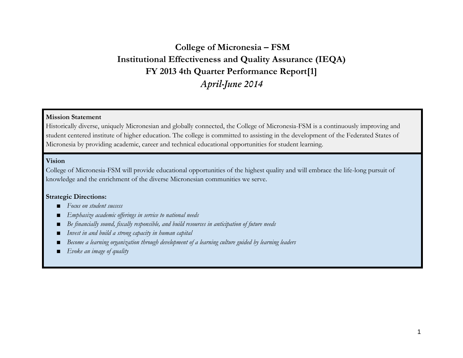## **College of Micronesia – FSM Institutional Effectiveness and Quality Assurance (IEQA) FY 2013 4th Quarter Performance Report[1]** *April-June 2014*

#### **Mission Statement**

Historically diverse, uniquely Micronesian and globally connected, the College of Micronesia-FSM is a continuously improving and student centered institute of higher education. The college is committed to assisting in the development of the Federated States of Micronesia by providing academic, career and technical educational opportunities for student learning.

#### **Vision**

College of Micronesia-FSM will provide educational opportunities of the highest quality and will embrace the life-long pursuit of knowledge and the enrichment of the diverse Micronesian communities we serve.

#### **Strategic Directions:**

- *Focus on student success*
- Emphasize academic offerings in service to national needs
- *Be financially sound, fiscally responsible, and build resources in anticipation of future needs*
- *Invest in and build a strong capacity in human capital*
- *Become a learning organization through development of a learning culture guided by learning leaders*
- *Evoke an image of quality*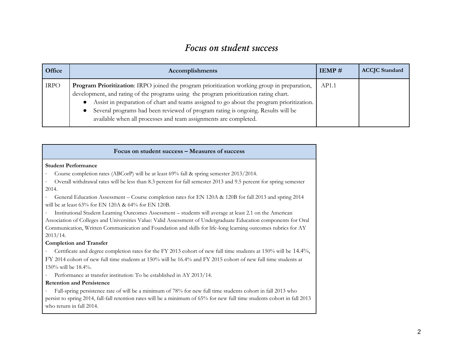### *Focus on student success*

| Office      | Accomplishments                                                                                                                                                                                                                                                                                                                                                                                                                                                       | IEMP# | <b>ACCJC</b> Standard |
|-------------|-----------------------------------------------------------------------------------------------------------------------------------------------------------------------------------------------------------------------------------------------------------------------------------------------------------------------------------------------------------------------------------------------------------------------------------------------------------------------|-------|-----------------------|
| <b>IRPO</b> | Program Prioritization: IRPO joined the program prioritization working group in preparation,<br>development, and rating of the programs using the program prioritization rating chart.<br>Assist in preparation of chart and teams assigned to go about the program prioritization.<br>$\bullet$<br>Several programs had been reviewed of program rating is ongoing. Results will be<br>$\bullet$<br>available when all processes and team assignments are completed. | AP1.1 |                       |

#### **Focus on student success – Measures of success**

#### **Student Performance**

· Course completion rates (ABCorP) will be at least 69% fall & spring semester 2013/2014.

· Overall withdrawal rates will be less than 8.3 percent for fall semester 2013 and 9.5 percent for spring semester 2014.

· General Education Assessment – Course completion rates for EN 120A & 120B for fall 2013 and spring 2014 will be at least 63% for EN 120A & 64% for EN 120B.

· Institutional Student Learning Outcomes Assessment – students will average at least 2.1 on the American Association of Colleges and Universities Value: Valid Assessment of Undergraduate Education components for Oral Communication, Written Communication and Foundation and skills for life-long learning outcomes rubrics for AY 2013/14.

#### **Completion and Transfer**

· Certificate and degree completion rates for the FY 2013 cohort of new full time students at 150% will be 14.4%, FY 2014 cohort of new full time students at 150% will be 16.4% and FY 2015 cohort of new full time students at 150% will be 18.4%.

· Performance at transfer institution: To be established in AY 2013/14.

#### **Retention and Persistence**

Fall-spring persistence rate of will be a minimum of 78% for new full time students cohort in fall 2013 who persist to spring 2014, fall-fall retention rates will be a minimum of 65% for new full time students cohort in fall 2013 who return in fall 2014.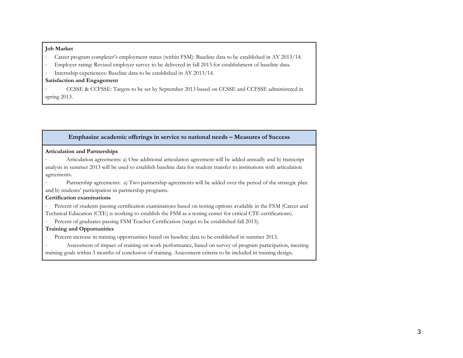#### **Job Market**

- Career program completer's employment status (within FSM): Baseline data to be established in AY 2013/14.
- Employer rating: Revised employer survey to be delivered in fall 2013 for establishment of baseline data.
- Internship experiences: Baseline data to be established in AY 2013/14.

#### **Satisfaction and Engagement**

· CCSSE & CCFSSE: Targets to be set by September 2013 based on CCSSE and CCFSSE administered in spring 2013.

#### **Emphasize academic offerings in service to national needs – Measures of Success**

#### **Articulation and Partnerships**

- · Articulation agreements: a) One additional articulation agreement will be added annually and b) transcript analysis in summer 2013 will be used to establish baseline data for student transfer to institutions with articulation agreements.
- Partnership agreements: a) Two partnership agreements will be added over the period of the strategic plan and b) students' participation in partnership programs.

#### **Certification examinations**

· Percent of students passing certification examinations based on testing options available in the FSM (Career and Technical Education (CTE) is working to establish the FSM as a testing center for critical CTE certifications).

· Percent of graduates passing FSM Teacher Certification (target to be established fall 2013).

#### **Training and Opportunities**

- Percent increase in training opportunities based on baseline data to be established in summer 2013.
- Assessment of impact of training on work performance, based on survey of program participation, meeting training goals within 3 months of conclusion of training. Assessment criteria to be included in training design.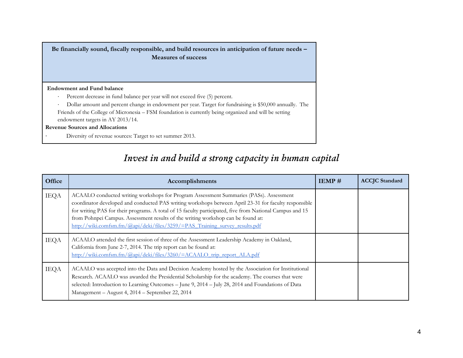**Be financially sound, fiscally responsible, and build resources in anticipation of future needs – Measures of success**

#### **Endowment and Fund balance**

· Percent decrease in fund balance per year will not exceed five (5) percent.

· Dollar amount and percent change in endowment per year. Target for fundraising is \$50,000 annually. The Friends of the College of Micronesia – FSM foundation is currently being organized and will be setting endowment targets in AY 2013/14.

#### **Revenue Sources and Allocations**

Diversity of revenue sources: Target to set summer 2013.

### *Invest in and build a strong capacity in human capital*

| Office      | Accomplishments                                                                                                                                                                                                                                                                                                                                                                                                                                                                | IEMP# | <b>ACCJC</b> Standard |
|-------------|--------------------------------------------------------------------------------------------------------------------------------------------------------------------------------------------------------------------------------------------------------------------------------------------------------------------------------------------------------------------------------------------------------------------------------------------------------------------------------|-------|-----------------------|
| <b>IEQA</b> | ACAALO conducted writing workshops for Program Assessment Summaries (PASs). Assessment<br>coordinator developed and conducted PAS writing workshops between April 23-31 for faculty responsible<br>for writing PAS for their programs. A total of 15 faculty participated, five from National Campus and 15<br>from Pohnpei Campus. Assessment results of the writing workshop can be found at:<br>http://wiki.comfsm.fm/@api/deki/files/3259/=PAS Training survey results.pdf |       |                       |
| <b>IEQA</b> | ACAALO attended the first session of three of the Assessment Leadership Academy in Oakland,<br>California from June 2-7, 2014. The trip report can be found at:<br>http://wiki.comfsm.fm/@api/deki/files/3260/=ACAALO_trip_report_ALA.pdf                                                                                                                                                                                                                                      |       |                       |
| <b>IEQA</b> | ACAALO was accepted into the Data and Decision Academy hosted by the Association for Institutional<br>Research. ACAALO was awarded the Presidential Scholarship for the academy. The courses that were<br>selected: Introduction to Learning Outcomes – June 9, 2014 – July 28, 2014 and Foundations of Data<br>Management - August 4, 2014 - September 22, 2014                                                                                                               |       |                       |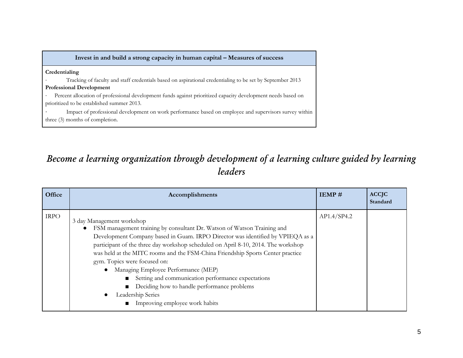| Invest in and build a strong capacity in human capital - Measures of success                                 |
|--------------------------------------------------------------------------------------------------------------|
| Credentialing                                                                                                |
| Tracking of faculty and staff credentials based on aspirational credentialing to be set by September 2013    |
| <b>Professional Development</b>                                                                              |
| Percent allocation of professional development funds against prioritized capacity development needs based on |
| prioritized to be established summer 2013.                                                                   |
| Impact of professional development on work performance based on employee and supervisors survey within       |
| three (3) months of completion.                                                                              |

# *Become a learning organization through development of a learning culture guided by learning leaders*

| Office      | Accomplishments                                                                                                                                                                                                                                                                                                                                                                                                                                                                                                                                                                                                                        | IEMP#       | <b>ACCJC</b><br>Standard |
|-------------|----------------------------------------------------------------------------------------------------------------------------------------------------------------------------------------------------------------------------------------------------------------------------------------------------------------------------------------------------------------------------------------------------------------------------------------------------------------------------------------------------------------------------------------------------------------------------------------------------------------------------------------|-------------|--------------------------|
| <b>IRPO</b> | 3 day Management workshop<br>FSM management training by consultant Dr. Watson of Watson Training and<br>Development Company based in Guam. IRPO Director was identified by VPIEQA as a<br>participant of the three day workshop scheduled on April 8-10, 2014. The workshop<br>was held at the MITC rooms and the FSM-China Friendship Sports Center practice<br>gym. Topics were focused on:<br>Managing Employee Performance (MEP)<br>Setting and communication performance expectations<br>$\blacksquare$<br>Deciding how to handle performance problems<br>$\blacksquare$<br>Leadership Series<br>• Improving employee work habits | AP1.4/SP4.2 |                          |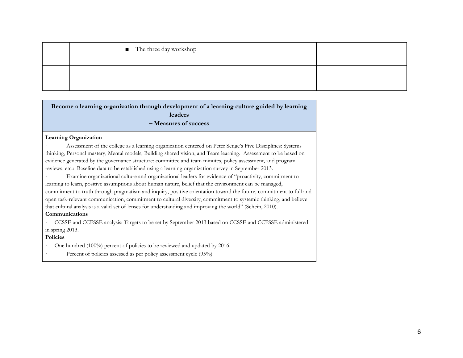| ■ The three day workshop |  |
|--------------------------|--|
|                          |  |

**Become a learning organization through development of a learning culture guided by learning leaders – Measures of success**

#### **Learning Organization**

Assessment of the college as a learning organization centered on Peter Senge's Five Disciplines: Systems thinking, Personal mastery, Mental models, Building shared vision, and Team learning. Assessment to be based on evidence generated by the governance structure: committee and team minutes, policy assessment, and program reviews, etc.: Baseline data to be established using a learning organization survey in September 2013.

Examine organizational culture and organizational leaders for evidence of "proactivity, commitment to learning to learn, positive assumptions about human nature, belief that the environment can be managed, commitment to truth through pragmatism and inquiry, positive orientation toward the future, commitment to full and open task-relevant communication, commitment to cultural diversity, commitment to systemic thinking, and believe that cultural analysis is a valid set of lenses for understanding and improving the world" (Schein, 2010).

#### **Communications**

· CCSSE and CCFSSE analysis: Targets to be set by September 2013 based on CCSSE and CCFSSE administered in spring 2013.

#### **Policies**

- One hundred (100%) percent of policies to be reviewed and updated by 2016.
- Percent of policies assessed as per policy assessment cycle (95%)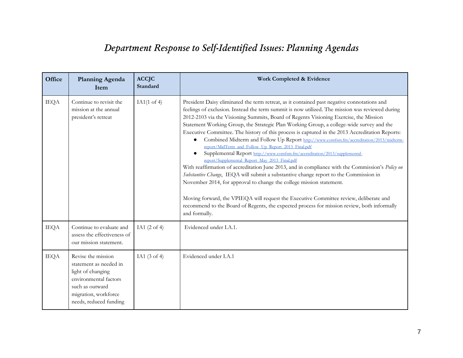# *Department Response to Self-Identified Issues: Planning Agendas*

| Office      | <b>Planning Agenda</b><br>Item                                                                                                                                  | <b>ACCJC</b><br>Standard | Work Completed & Evidence                                                                                                                                                                                                                                                                                                                                                                                                                                                                                                                                                                                                                                                                                                                                                                                                                                                                                                                                                                                                                                                                                                                                                                                                                                        |
|-------------|-----------------------------------------------------------------------------------------------------------------------------------------------------------------|--------------------------|------------------------------------------------------------------------------------------------------------------------------------------------------------------------------------------------------------------------------------------------------------------------------------------------------------------------------------------------------------------------------------------------------------------------------------------------------------------------------------------------------------------------------------------------------------------------------------------------------------------------------------------------------------------------------------------------------------------------------------------------------------------------------------------------------------------------------------------------------------------------------------------------------------------------------------------------------------------------------------------------------------------------------------------------------------------------------------------------------------------------------------------------------------------------------------------------------------------------------------------------------------------|
| <b>IEQA</b> | Continue to revisit the<br>mission at the annual<br>president's retreat                                                                                         | IA1 $(1$ of 4)           | President Daisy eliminated the term retreat, as it contained past negative connotations and<br>feelings of exclusion. Instead the term summit is now utilized. The mission was reviewed during<br>2012-2103 via the Visioning Summits, Board of Regents Visioning Exercise, the Mission<br>Statement Working Group, the Strategic Plan Working Group, a college-wide survey and the<br>Executive Committee. The history of this process is captured in the 2013 Accreditation Reports:<br>Combined Midterm and Follow Up Report http://www.comfsm.fm/accreditation/2013/midterm-<br>$\bullet$<br>report/MidTerm_and_Follow_Up_Report_2013_Final.pdf<br>Supplemental Report http://www.comfsm.fm/accreditation/2013/supplemental-<br>report/Supplemental_Report_May_2013_Final.pdf<br>With reaffirmation of accreditation June 2013, and in compliance with the Commission's Policy on<br>Substantive Change, IEQA will submit a substantive change report to the Commission in<br>November 2014, for approval to change the college mission statement.<br>Moving forward, the VPIEQA will request the Executive Committee review, deliberate and<br>recommend to the Board of Regents, the expected process for mission review, both informally<br>and formally. |
| <b>IEQA</b> | Continue to evaluate and<br>assess the effectiveness of<br>our mission statement.                                                                               | IA1 $(2 \text{ of } 4)$  | Evidenced under I.A.1.                                                                                                                                                                                                                                                                                                                                                                                                                                                                                                                                                                                                                                                                                                                                                                                                                                                                                                                                                                                                                                                                                                                                                                                                                                           |
| <b>IEQA</b> | Revise the mission<br>statement as needed in<br>light of changing<br>environmental factors<br>such as outward<br>migration, workforce<br>needs, reduced funding | IA1 $(3$ of 4)           | Evidenced under I.A.1                                                                                                                                                                                                                                                                                                                                                                                                                                                                                                                                                                                                                                                                                                                                                                                                                                                                                                                                                                                                                                                                                                                                                                                                                                            |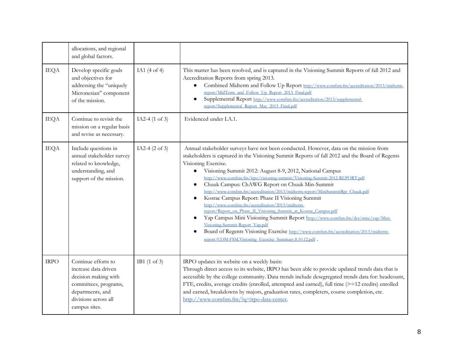|             | allocations, and regional<br>and global factors.                                                                                                          |                           |                                                                                                                                                                                                                                                                                                                                                                                                                                                                                                                                                                                                                                                                                                                                                                                                                                                                                                                                                                                                                   |
|-------------|-----------------------------------------------------------------------------------------------------------------------------------------------------------|---------------------------|-------------------------------------------------------------------------------------------------------------------------------------------------------------------------------------------------------------------------------------------------------------------------------------------------------------------------------------------------------------------------------------------------------------------------------------------------------------------------------------------------------------------------------------------------------------------------------------------------------------------------------------------------------------------------------------------------------------------------------------------------------------------------------------------------------------------------------------------------------------------------------------------------------------------------------------------------------------------------------------------------------------------|
| <b>IEQA</b> | Develop specific goals<br>and objectives for<br>addressing the "uniquely<br>Micronesian" component<br>of the mission.                                     | IA1 $(4$ of 4)            | This matter has been resolved, and is captured in the Visioning Summit Reports of fall 2012 and<br>Accreditation Reports from spring 2013.<br>Combined Midterm and Follow Up Report http://www.comfsm.fm/accreditation/2013/midterm-<br>$\bullet$<br>report/MidTerm_and_Follow_Up_Report_2013_Final.pdf<br>Supplemental Report http://www.comfsm.fm/accreditation/2013/supplemental-<br>report/Supplemental_Report_May_2013_Final.pdf                                                                                                                                                                                                                                                                                                                                                                                                                                                                                                                                                                             |
| <b>IEQA</b> | Continue to revisit the<br>mission on a regular basis<br>and revise as necessary.                                                                         | IA2-4 (1 of 3)            | Evidenced under I.A.1.                                                                                                                                                                                                                                                                                                                                                                                                                                                                                                                                                                                                                                                                                                                                                                                                                                                                                                                                                                                            |
| <b>IEQA</b> | Include questions in<br>annual stakeholder survey<br>related to knowledge,<br>understanding, and<br>support of the mission.                               | IA2-4 $(2 \text{ of } 3)$ | Annual stakeholder surveys have not been conducted. However, data on the mission from<br>stakeholders is captured in the Visioning Summit Reports of fall 2012 and the Board of Regents<br>Visioning Exercise.<br>Visioning Summit 2012: August 8-9, 2012, National Campus<br>$\bullet$<br>http://www.comfsm.fm/irpo/visioning-summit/Visioning-Summit-2012-REPORT.pdf<br>Chuuk Campus: ChAWG Report on Chuuk Min-Summit<br>$\bullet$<br>http://www.comfsm.fm/accreditation/2013/midterm-report/MiniSummitRpt_Chuuk.pdf<br>Kosrae Campus Report: Phase II Visioning Summit<br>$\bullet$<br>http://www.comfsm.fm/accreditation/2013/midterm-<br>report/Report_on_Phase_II_Visioning_Summit_at_Kosrae_Campus.pdf<br>Yap Campus Mini Visioning Summit Report http://www.comfsm.fm/dcr/misc/yap/Mini-<br>$\bullet$<br>Visioning-Summit-Report_Yap.pdf<br>Board of Regents Visioning Exercise http://www.comfsm.fm/accreditation/2013/midterm-<br>$\bullet$<br>report/COM-FSM.Visioning_Exercise_Summary.8.10.12.pdf . |
| <b>IRPO</b> | Continue efforts to<br>increase data driven<br>decision making with<br>committees, programs,<br>departments, and<br>divisions across all<br>campus sites. | IB1 $(1 \text{ of } 3)$   | IRPO updates its website on a weekly basis:<br>Through direct access to its website, IRPO has been able to provide updated trends data that is<br>accessible by the college community. Data trends include desegregated trends data for: headcount,<br>FTE, credits, average credits (enrolled, attempted and earned), full time (>=12 credits) enrolled<br>and earned, breakdowns by majors, graduation rates, completers, course completion, etc.<br>http://www.comfsm.fm/?q=irpo-data-center.                                                                                                                                                                                                                                                                                                                                                                                                                                                                                                                  |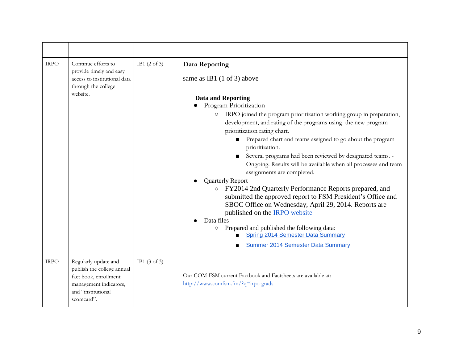| <b>IRPO</b> | Continue efforts to<br>provide timely and easy<br>access to institutional data<br>through the college<br>website.                          | IB1 $(2 \text{ of } 3)$ | Data Reporting<br>same as IB1 $(1 \text{ of } 3)$ above<br><b>Data and Reporting</b><br>Program Prioritization<br>IRPO joined the program prioritization working group in preparation,<br>$\circ$<br>development, and rating of the programs using the new program<br>prioritization rating chart.<br>Prepared chart and teams assigned to go about the program<br>prioritization.<br>Several programs had been reviewed by designated teams. -<br>Ongoing. Results will be available when all processes and team<br>assignments are completed.<br><b>Quarterly Report</b><br>o FY2014 2nd Quarterly Performance Reports prepared, and<br>submitted the approved report to FSM President's Office and<br>SBOC Office on Wednesday, April 29, 2014. Reports are<br>published on the <b>IRPO</b> website<br>Data files<br>Prepared and published the following data:<br>$\circ$<br><b>Spring 2014 Semester Data Summary</b><br><b>Summer 2014 Semester Data Summary</b> |
|-------------|--------------------------------------------------------------------------------------------------------------------------------------------|-------------------------|-----------------------------------------------------------------------------------------------------------------------------------------------------------------------------------------------------------------------------------------------------------------------------------------------------------------------------------------------------------------------------------------------------------------------------------------------------------------------------------------------------------------------------------------------------------------------------------------------------------------------------------------------------------------------------------------------------------------------------------------------------------------------------------------------------------------------------------------------------------------------------------------------------------------------------------------------------------------------|
| <b>IRPO</b> | Regularly update and<br>publish the college annual<br>fact book, enrollment<br>management indicators,<br>and "institutional<br>scorecard". | IB1 $(3 \text{ of } 3)$ | Our COM-FSM current Factbook and Factsheets are available at:<br>http://www.comfsm.fm/?q=irpo-grads                                                                                                                                                                                                                                                                                                                                                                                                                                                                                                                                                                                                                                                                                                                                                                                                                                                                   |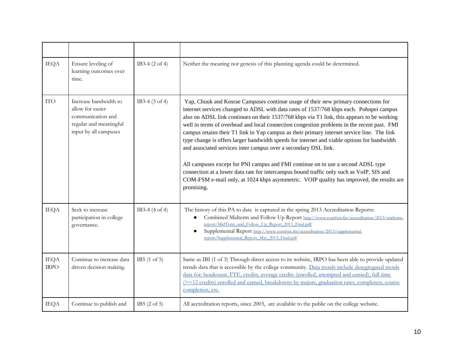| <b>IEQA</b>                | Ensure leveling of<br>learning outcomes over<br>time.                                                             | IB3-4 $(2 \text{ of } 4)$ | Neither the meaning nor genesis of this planning agenda could be determined.                                                                                                                                                                                                                                                                                                                                                                                                                                                                                                                                                                                                                                                                                                                                                                                                                                                         |
|----------------------------|-------------------------------------------------------------------------------------------------------------------|---------------------------|--------------------------------------------------------------------------------------------------------------------------------------------------------------------------------------------------------------------------------------------------------------------------------------------------------------------------------------------------------------------------------------------------------------------------------------------------------------------------------------------------------------------------------------------------------------------------------------------------------------------------------------------------------------------------------------------------------------------------------------------------------------------------------------------------------------------------------------------------------------------------------------------------------------------------------------|
| <b>ITO</b>                 | Increase bandwidth to<br>allow for easier<br>communication and<br>regular and meaningful<br>input by all campuses | IB3-4 $(3 \text{ of } 4)$ | Yap, Chuuk and Kosrae Campuses continue usage of their new primary connections for<br>internet services changed to ADSL with data rates of 1537/768 kbps each. Pohnpei campus<br>also on ADSL link continues on their 1537/768 kbps via T1 link, this appears to be working<br>well in terms of overhead and local connection congestion problems in the recent past. FMI<br>campus retains their T1 link to Yap campus as their primary internet service line. The link<br>type change is offers larger bandwidth speeds for internet and viable options for bandwidth<br>and associated services inter campus over a secondary DSL link.<br>All campuses except for PNI campus and FMI continue on to use a second ADSL type<br>connection at a lower data rate for intercampus bound traffic only such as VoIP, SIS and<br>COM-FSM e-mail only, at 1024 kbps asymmetric. VOIP quality has improved, the results are<br>promising. |
| <b>IEQA</b>                | Seek to increase<br>participation in college<br>governance.                                                       | IB3-4 $(4 \text{ of } 4)$ | The history of this PA to date is captured in the spring 2013 Accreditation Reports:<br>Combined Midterm and Follow Up Report http://www.comfsm.fm/accreditation/2013/midterm-<br>$\bullet$<br>report/MidTerm_and_Follow_Up_Report_2013_Final.pdf<br>Supplemental Report http://www.comfsm.fm/accreditation/2013/supplemental-<br>$\bullet$<br>report/Supplemental_Report_May_2013_Final.pdf                                                                                                                                                                                                                                                                                                                                                                                                                                                                                                                                         |
| <b>IEQA</b><br><b>IRPO</b> | Continue to increase data<br>driven decision making.                                                              | IB5 $(1 \text{ of } 5)$   | Same as IBI (1 of 3) Through direct access to its website, IRPO has been able to provide updated<br>trends data that is accessible by the college community. Data trends include desegregated trends<br>data for: headcount, FTE, credits, average credits (enrolled, attempted and earned), full time<br>(>=12 credits) enrolled and earned, breakdowns by majors, graduation rates, completers, course<br>completion, etc.                                                                                                                                                                                                                                                                                                                                                                                                                                                                                                         |
| <b>IEQA</b>                | Continue to publish and                                                                                           | IB5 $(2 \text{ of } 5)$   | All accreditation reports, since 2003, are available to the public on the college website.                                                                                                                                                                                                                                                                                                                                                                                                                                                                                                                                                                                                                                                                                                                                                                                                                                           |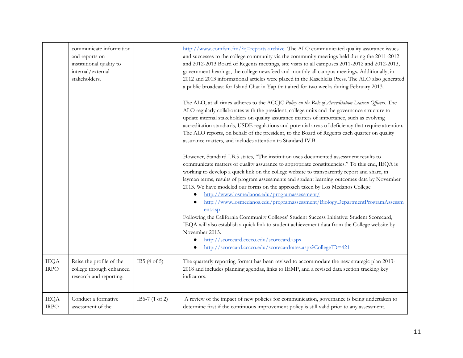|                            | communicate information<br>and reports on<br>institutional quality to<br>internal/external<br>stakeholders. |                           | http://www.comfsm.fm/?q=reports-archive The ALO communicated quality assurance issues<br>and successes to the college community via the community meetings held during the 2011-2012<br>and 2012-2013 Board of Regents meetings, site visits to all campuses 2011-2012 and 2012-2013,<br>government hearings, the college newsfeed and monthly all campus meetings. Additionally, in<br>2012 and 2013 informational articles were placed in the Kasehlelia Press. The ALO also generated<br>a public broadcast for Island Chat in Yap that aired for two weeks during February 2013.<br>The ALO, at all times adheres to the ACCJC Policy on the Role of Accreditation Liaison Officers. The<br>ALO regularly collaborates with the president, college units and the governance structure to<br>update internal stakeholders on quality assurance matters of importance, such as evolving<br>accreditation standards, USDE regulations and potential areas of deficiency that require attention.<br>The ALO reports, on behalf of the president, to the Board of Regents each quarter on quality<br>assurance matters, and includes attention to Standard IV.B.<br>However, Standard I.B.5 states, "The institution uses documented assessment results to<br>communicate matters of quality assurance to appropriate constituencies." To this end, IEQA is<br>working to develop a quick link on the college website to transparently report and share, in<br>layman terms, results of program assessments and student learning outcomes data by November<br>2013. We have modeled our forms on the approach taken by Los Medanos College<br>http://www.losmedanos.edu/programassessment/<br>http://www.losmedanos.edu/programassessment/BiologyDepartmentProgramAssessm<br>ent.asp |
|----------------------------|-------------------------------------------------------------------------------------------------------------|---------------------------|-------------------------------------------------------------------------------------------------------------------------------------------------------------------------------------------------------------------------------------------------------------------------------------------------------------------------------------------------------------------------------------------------------------------------------------------------------------------------------------------------------------------------------------------------------------------------------------------------------------------------------------------------------------------------------------------------------------------------------------------------------------------------------------------------------------------------------------------------------------------------------------------------------------------------------------------------------------------------------------------------------------------------------------------------------------------------------------------------------------------------------------------------------------------------------------------------------------------------------------------------------------------------------------------------------------------------------------------------------------------------------------------------------------------------------------------------------------------------------------------------------------------------------------------------------------------------------------------------------------------------------------------------------------------------------------------------------------------------------------------------------------------------------------|
|                            |                                                                                                             |                           | Following the California Community Colleges' Student Success Initiative: Student Scorecard,<br>IEQA will also establish a quick link to student achievement data from the College website by<br>November 2013.<br>http://scorecard.cccco.edu/scorecard.aspx<br>http://scorecard.cccco.edu/scorecardrates.aspx?CollegeID=421                                                                                                                                                                                                                                                                                                                                                                                                                                                                                                                                                                                                                                                                                                                                                                                                                                                                                                                                                                                                                                                                                                                                                                                                                                                                                                                                                                                                                                                         |
| <b>IEQA</b><br><b>IRPO</b> | Raise the profile of the<br>college through enhanced<br>research and reporting.                             | IB5(4 of 5)               | The quarterly reporting format has been revised to accommodate the new strategic plan 2013-<br>2018 and includes planning agendas, links to IEMP, and a revised data section tracking key<br>indicators.                                                                                                                                                                                                                                                                                                                                                                                                                                                                                                                                                                                                                                                                                                                                                                                                                                                                                                                                                                                                                                                                                                                                                                                                                                                                                                                                                                                                                                                                                                                                                                            |
| <b>IEQA</b><br><b>IRPO</b> | Conduct a formative<br>assessment of the                                                                    | IB6-7 $(1 \text{ of } 2)$ | A review of the impact of new policies for communication, governance is being undertaken to<br>determine first if the continuous improvement policy is still valid prior to any assessment.                                                                                                                                                                                                                                                                                                                                                                                                                                                                                                                                                                                                                                                                                                                                                                                                                                                                                                                                                                                                                                                                                                                                                                                                                                                                                                                                                                                                                                                                                                                                                                                         |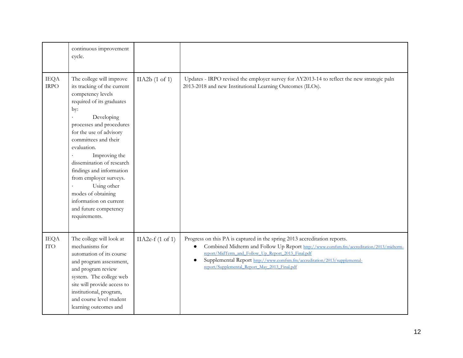|                            | continuous improvement<br>cycle.                                                                                                                                                                                                                                                                                                                                                                                                          |                    |                                                                                                                                                                                                                                                                                                                                                                      |
|----------------------------|-------------------------------------------------------------------------------------------------------------------------------------------------------------------------------------------------------------------------------------------------------------------------------------------------------------------------------------------------------------------------------------------------------------------------------------------|--------------------|----------------------------------------------------------------------------------------------------------------------------------------------------------------------------------------------------------------------------------------------------------------------------------------------------------------------------------------------------------------------|
| <b>IEQA</b><br><b>IRPO</b> | The college will improve<br>its tracking of the current<br>competency levels<br>required of its graduates<br>by:<br>Developing<br>processes and procedures<br>for the use of advisory<br>committees and their<br>evaluation.<br>Improving the<br>dissemination of research<br>findings and information<br>from employer surveys.<br>Using other<br>modes of obtaining<br>information on current<br>and future competency<br>requirements. | IIA2b(1 of 1)      | Updates - IRPO revised the employer survey for AY2013-14 to reflect the new strategic paln<br>2013-2018 and new Institutional Learning Outcomes (ILOs).                                                                                                                                                                                                              |
| <b>IEQA</b><br><b>ITO</b>  | The college will look at<br>mechanisms for<br>automation of its course<br>and program assessment,<br>and program review<br>system. The college web<br>site will provide access to<br>institutional, program,<br>and course level student<br>learning outcomes and                                                                                                                                                                         | IIA2e- $f(1$ of 1) | Progress on this PA is captured in the spring 2013 accreditation reports.<br>Combined Midterm and Follow Up Report http://www.comfsm.fm/accreditation/2013/midterm-<br>$\bullet$<br>report/MidTerm_and_Follow_Up_Report_2013_Final.pdf<br>Supplemental Report http://www.comfsm.fm/accreditation/2013/supplemental-<br>report/Supplemental_Report_May_2013_Final.pdf |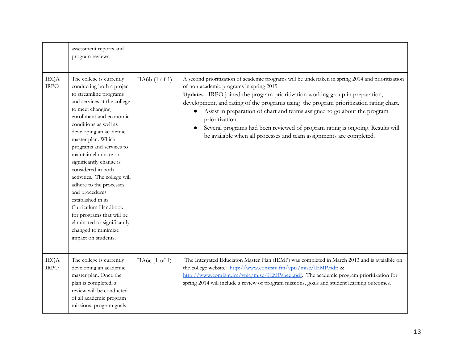|                            | assessment reports and<br>program reviews.                                                                                                                                                                                                                                                                                                                                                                                                                                                                                                                                       |                           |                                                                                                                                                                                                                                                                                                                                                                                                                                                                                                                                                                                   |
|----------------------------|----------------------------------------------------------------------------------------------------------------------------------------------------------------------------------------------------------------------------------------------------------------------------------------------------------------------------------------------------------------------------------------------------------------------------------------------------------------------------------------------------------------------------------------------------------------------------------|---------------------------|-----------------------------------------------------------------------------------------------------------------------------------------------------------------------------------------------------------------------------------------------------------------------------------------------------------------------------------------------------------------------------------------------------------------------------------------------------------------------------------------------------------------------------------------------------------------------------------|
| <b>IEQA</b><br><b>IRPO</b> | The college is currently<br>conducting both a project<br>to streamline programs<br>and services at the college<br>to meet changing<br>enrollment and economic<br>conditions as well as<br>developing an academic<br>master plan. Which<br>programs and services to<br>maintain eliminate or<br>significantly change is<br>considered in both<br>activities. The college will<br>adhere to the processes<br>and procedures<br>established in its<br>Curriculum Handbook<br>for programs that will be<br>eliminated or significantly<br>changed to minimize<br>impact on students. | IIA6b(1 of 1)             | A second prioritization of academic programs will be undertaken in spring 2014 and prioritization<br>of non-academic programs in spring 2015.<br>Updates - IRPO joined the program prioritization working group in preparation,<br>development, and rating of the programs using the program prioritization rating chart.<br>Assist in preparation of chart and teams assigned to go about the program<br>prioritization.<br>Several programs had been reviewed of program rating is ongoing. Results will<br>be available when all processes and team assignments are completed. |
| <b>IEQA</b><br><b>IRPO</b> | The college is currently<br>developing an academic<br>master plan. Once the<br>plan is completed, a<br>review will be conducted<br>of all academic program<br>missions, program goals,                                                                                                                                                                                                                                                                                                                                                                                           | IIA6 $c(1 \text{ of } 1)$ | The Integrated Educiaton Master Plan (IEMP) was completed in March 2013 and is avaialble on<br>the college website: http://www.comfsm.fm/vpia/misc/IEMP.pdf; &<br>http://www.comfsm.fm/vpia/misc/IEMPsheet.pdf. The academic program prioritization for<br>spring 2014 will include a review of program missions, goals and student learning outcomes.                                                                                                                                                                                                                            |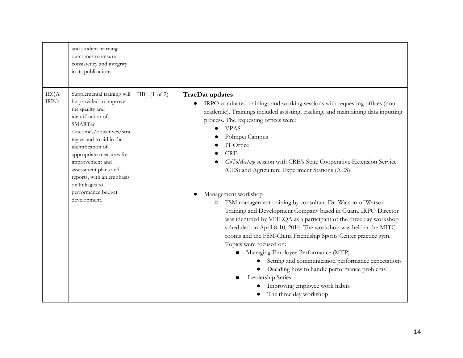|                            | and student learning<br>outcomes to ensure<br>consistency and integrity<br>in its publications.                                                                                                                                                                                                                                                  |                 |                                                                                                                                                                                                                                                                                                                                                                                                                                                                                                                                                                                                                                                                                                                                                                                                                                                                                                                                                                                                                                                                                          |
|----------------------------|--------------------------------------------------------------------------------------------------------------------------------------------------------------------------------------------------------------------------------------------------------------------------------------------------------------------------------------------------|-----------------|------------------------------------------------------------------------------------------------------------------------------------------------------------------------------------------------------------------------------------------------------------------------------------------------------------------------------------------------------------------------------------------------------------------------------------------------------------------------------------------------------------------------------------------------------------------------------------------------------------------------------------------------------------------------------------------------------------------------------------------------------------------------------------------------------------------------------------------------------------------------------------------------------------------------------------------------------------------------------------------------------------------------------------------------------------------------------------------|
| <b>IEQA</b><br><b>IRPO</b> | Supplemental training will<br>be provided to improve<br>the quality and<br>identification of<br>SMARTer<br>outcomes/objectives/stra<br>tegies and to aid in the<br>identification of<br>appropriate measures for<br>improvement and<br>assessment plans and<br>reports, with an emphasis<br>on linkages to<br>performance budget<br>development. | $IIB1$ (1 of 2) | <b>TracDat updates</b><br>IRPO conducted trainings and working sessions with requesting offices (non-<br>$\bullet$<br>academic). Trainings included assisting, tracking, and maintaining data inputting<br>process. The requesting offices were:<br><b>VPAS</b><br>Pohnpei Campus<br>IT Office<br><b>CRE</b><br>GoToMeeting session with CRE's State Cooperative Extension Service<br>(CES) and Agriculture Experiment Stations (AES).<br>Management workshop<br>FSM management training by consultant Dr. Watson of Watson<br>$\circlearrowright$<br>Training and Development Company based in Guam. IRPO Director<br>was identified by VPIEQA as a participant of the three day workshop<br>scheduled on April 8-10, 2014. The workshop was held at the MITC<br>rooms and the FSM-China Friendship Sports Center practice gym.<br>Topics were focused on:<br>Managing Employee Performance (MEP)<br>Setting and communication performance expectations<br>Deciding how to handle performance problems<br>Leadership Series<br>Improving employee work habits<br>The three day workshop |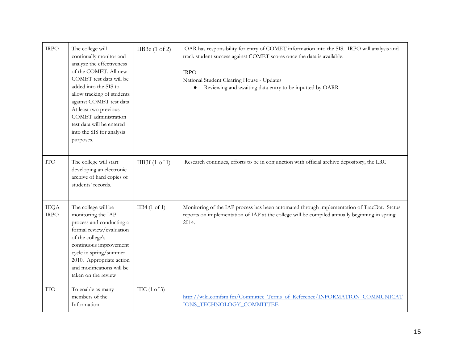| <b>IRPO</b>                | The college will<br>continually monitor and<br>analyze the effectiveness<br>of the COMET. All new<br>COMET test data will be<br>added into the SIS to<br>allow tracking of students<br>against COMET test data.<br>At least two previous<br>COMET administration<br>test data will be entered<br>into the SIS for analysis<br>purposes. | IIB3e $(1 \text{ of } 2)$ | OAR has responsibility for entry of COMET information into the SIS. IRPO will analysis and<br>track student success against COMET scores once the data is available.<br><b>IRPO</b><br>National Student Clearing House - Updates<br>Reviewing and awaiting data entry to be inputted by OARR |
|----------------------------|-----------------------------------------------------------------------------------------------------------------------------------------------------------------------------------------------------------------------------------------------------------------------------------------------------------------------------------------|---------------------------|----------------------------------------------------------------------------------------------------------------------------------------------------------------------------------------------------------------------------------------------------------------------------------------------|
| <b>ITO</b>                 | The college will start<br>developing an electronic<br>archive of hard copies of<br>students' records.                                                                                                                                                                                                                                   | IIB3f(1 of 1)             | Research continues, efforts to be in conjunction with official archive depository, the LRC                                                                                                                                                                                                   |
| <b>IEQA</b><br><b>IRPO</b> | The college will be<br>monitoring the IAP<br>process and conducting a<br>formal review/evaluation<br>of the college's<br>continuous improvement<br>cycle in spring/summer<br>2010. Appropriate action<br>and modifications will be<br>taken on the review                                                                               | IIB4 $(1 \text{ of } 1)$  | Monitoring of the IAP process has been automated through implementation of TracDat. Status<br>reports on implementation of IAP at the college will be compiled annually beginning in spring<br>2014.                                                                                         |
| <b>ITO</b>                 | To enable as many<br>members of the<br>Information                                                                                                                                                                                                                                                                                      | IIIC $(1 \text{ of } 3)$  | http://wiki.comfsm.fm/Committee Terms of Reference/INFORMATION COMMUNICAT<br><b>IONS TECHNOLOGY COMMITTEE</b>                                                                                                                                                                                |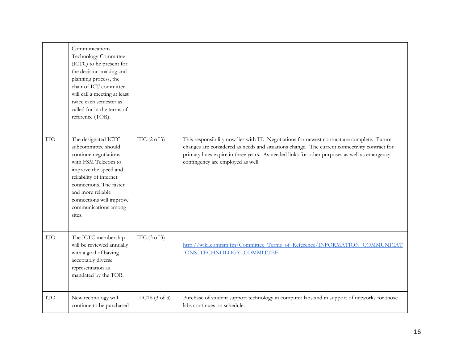|            | Communications<br>Technology Committee<br>(ICTC) to be present for<br>the decision-making and<br>planning process, the<br>chair of ICT committee<br>will call a meeting at least<br>twice each semester as<br>called for in the terms of<br>reference (TOR). |                          |                                                                                                                                                                                                                                                                                                                                  |
|------------|--------------------------------------------------------------------------------------------------------------------------------------------------------------------------------------------------------------------------------------------------------------|--------------------------|----------------------------------------------------------------------------------------------------------------------------------------------------------------------------------------------------------------------------------------------------------------------------------------------------------------------------------|
| <b>ITO</b> | The designated ICTC<br>subcommittee should<br>continue negotiations<br>with FSM Telecom to<br>improve the speed and<br>reliability of internet<br>connections. The faster<br>and more reliable<br>connections will improve<br>communications among<br>sites. | IIIC $(2 \text{ of } 3)$ | This responsibility now lies with IT. Negotiations for newest contract are complete. Future<br>changes are considered as needs and situations change. The current connectivity contract for<br>primary lines expire in three years. As needed links for other purposes as well as emergency<br>contingency are employed as well. |
| <b>ITO</b> | The ICTC membership<br>will be reviewed annually<br>with a goal of having<br>acceptably diverse<br>representation as<br>mandated by the TOR.                                                                                                                 | IIIC $(3 \text{ of } 3)$ | http://wiki.comfsm.fm/Committee Terms of Reference/INFORMATION COMMUNICAT<br><b>IONS TECHNOLOGY COMMITTEE</b>                                                                                                                                                                                                                    |
| <b>ITO</b> | New technology will<br>continue to be purchased                                                                                                                                                                                                              | $HIC1b$ (3 of 3)         | Purchase of student support technology in computer labs and in support of networks for those<br>labs continues on schedule.                                                                                                                                                                                                      |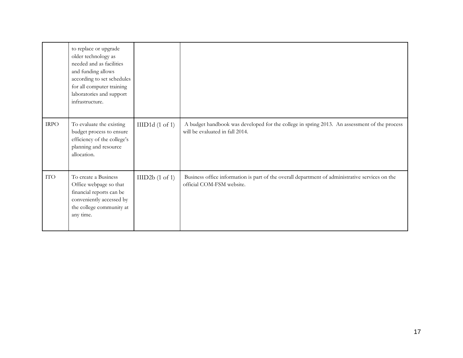|             | to replace or upgrade<br>older technology as<br>needed and as facilities<br>and funding allows<br>according to set schedules<br>for all computer training<br>laboratories and support<br>infrastructure. |                 |                                                                                                                                 |
|-------------|----------------------------------------------------------------------------------------------------------------------------------------------------------------------------------------------------------|-----------------|---------------------------------------------------------------------------------------------------------------------------------|
| <b>IRPO</b> | To evaluate the existing<br>budget process to ensure<br>efficiency of the college's<br>planning and resource<br>allocation.                                                                              | IIID1d (1 of 1) | A budget handbook was developed for the college in spring 2013. An assessment of the process<br>will be evaluated in fall 2014. |
| <b>ITO</b>  | To create a Business<br>Office webpage so that<br>financial reports can be<br>conveniently accessed by<br>the college community at<br>any time.                                                          | IIID2b(1 of 1)  | Business office information is part of the overall department of administrative services on the<br>official COM-FSM website.    |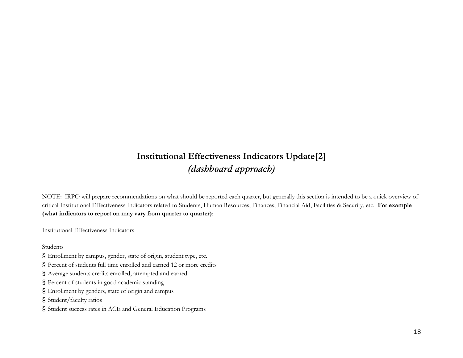### **Institutional Effectiveness Indicators Update[2]** *(dashboard approach)*

NOTE: IRPO will prepare recommendations on what should be reported each quarter, but generally this section is intended to be a quick overview of critical Institutional Effectiveness Indicators related to Students, Human Resources, Finances, Financial Aid, Facilities & Security, etc. **For example (what indicators to report on may vary from quarter to quarter)**:

Institutional Effectiveness Indicators

Students

- § Enrollment by campus, gender, state of origin, student type, etc.
- § Percent of students full time enrolled and earned 12 or more credits
- § Average students credits enrolled, attempted and earned
- § Percent of students in good academic standing
- § Enrollment by genders, state of origin and campus
- § Student/faculty ratios
- § Student success rates in ACE and General Education Programs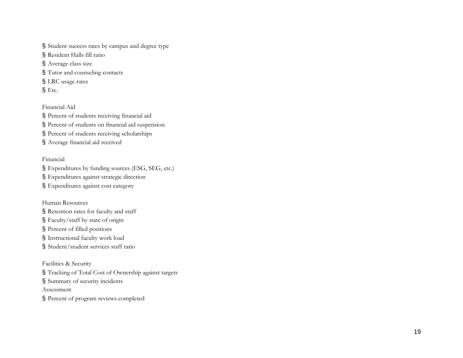§ Student success rates by campus and degree type § Resident Halls fill ratio § Average class size § Tutor and counseling contacts § LRC usage rates

§ Etc.

Financial Aid § Percent of students receiving financial aid § Percent of students on financial aid suspension § Percent of students receiving scholarships § Average financial aid received

Financial

§ Expenditures by funding sources (ESG, SEG, etc.) § Expenditures against strategic direction

§ Expenditures against cost category

Human Resources

§ Retention rates for faculty and staff

§ Faculty/staff by state of origin

§ Percent of filled positions

§ Instructional faculty work load

§ Student/student services staff ratio

Facilities & Security § Tracking of Total Cost of Ownership against targets § Summary of security incidents Assessment § Percent of program reviews completed